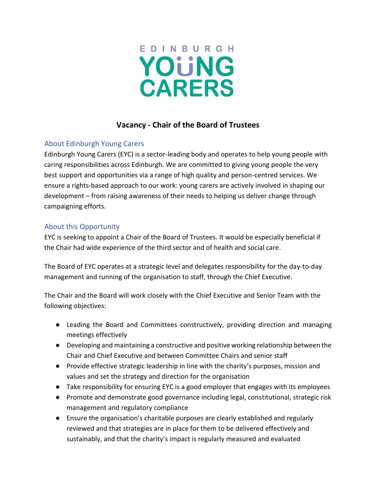

# **Vacancy - Chair of the Board of Trustees**

## About Edinburgh Young Carers

Edinburgh Young Carers (EYC) is a sector-leading body and operates to help young people with caring responsibilities across Edinburgh. We are committed to giving young people the very best support and opportunities via a range of high quality and person-centred services. We ensure a rights-based approach to our work: young carers are actively involved in shaping our development – from raising awareness of their needs to helping us deliver change through campaigning efforts.

## About this Opportunity

EYC is seeking to appoint a Chair of the Board of Trustees. It would be especially beneficial if the Chair had wide experience of the third sector and of health and social care.

The Board of EYC operates at a strategic level and delegates responsibility for the day-to-day management and running of the organisation to staff, through the Chief Executive.

The Chair and the Board will work closely with the Chief Executive and Senior Team with the following objectives:

- Leading the Board and Committees constructively, providing direction and managing meetings effectively
- Developing and maintaining a constructive and positive working relationship between the Chair and Chief Executive and between Committee Chairs and senior staff
- Provide effective strategic leadership in line with the charity's purposes, mission and values and set the strategy and direction for the organisation
- Take responsibility for ensuring EYC is a good employer that engages with its employees
- Promote and demonstrate good governance including legal, constitutional, strategic risk management and regulatory compliance
- Ensure the organisation's charitable purposes are clearly established and regularly reviewed and that strategies are in place for them to be delivered effectively and sustainably, and that the charity's impact is regularly measured and evaluated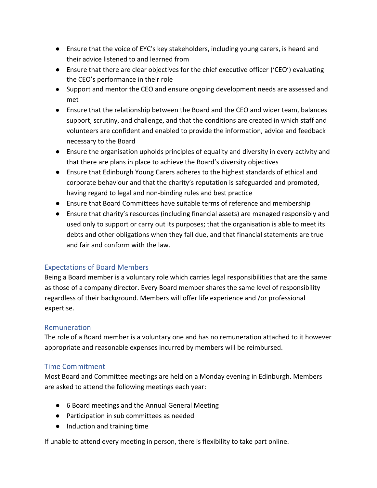- Ensure that the voice of EYC's key stakeholders, including young carers, is heard and their advice listened to and learned from
- Ensure that there are clear objectives for the chief executive officer ('CEO') evaluating the CEO's performance in their role
- Support and mentor the CEO and ensure ongoing development needs are assessed and met
- Ensure that the relationship between the Board and the CEO and wider team, balances support, scrutiny, and challenge, and that the conditions are created in which staff and volunteers are confident and enabled to provide the information, advice and feedback necessary to the Board
- Ensure the organisation upholds principles of equality and diversity in every activity and that there are plans in place to achieve the Board's diversity objectives
- Ensure that Edinburgh Young Carers adheres to the highest standards of ethical and corporate behaviour and that the charity's reputation is safeguarded and promoted, having regard to legal and non-binding rules and best practice
- Ensure that Board Committees have suitable terms of reference and membership
- Ensure that charity's resources (including financial assets) are managed responsibly and used only to support or carry out its purposes; that the organisation is able to meet its debts and other obligations when they fall due, and that financial statements are true and fair and conform with the law.

### Expectations of Board Members

Being a Board member is a voluntary role which carries legal responsibilities that are the same as those of a company director. Every Board member shares the same level of responsibility regardless of their background. Members will offer life experience and /or professional expertise.

#### Remuneration

The role of a Board member is a voluntary one and has no remuneration attached to it however appropriate and reasonable expenses incurred by members will be reimbursed.

#### Time Commitment

Most Board and Committee meetings are held on a Monday evening in Edinburgh. Members are asked to attend the following meetings each year:

- 6 Board meetings and the Annual General Meeting
- Participation in sub committees as needed
- Induction and training time

If unable to attend every meeting in person, there is flexibility to take part online.